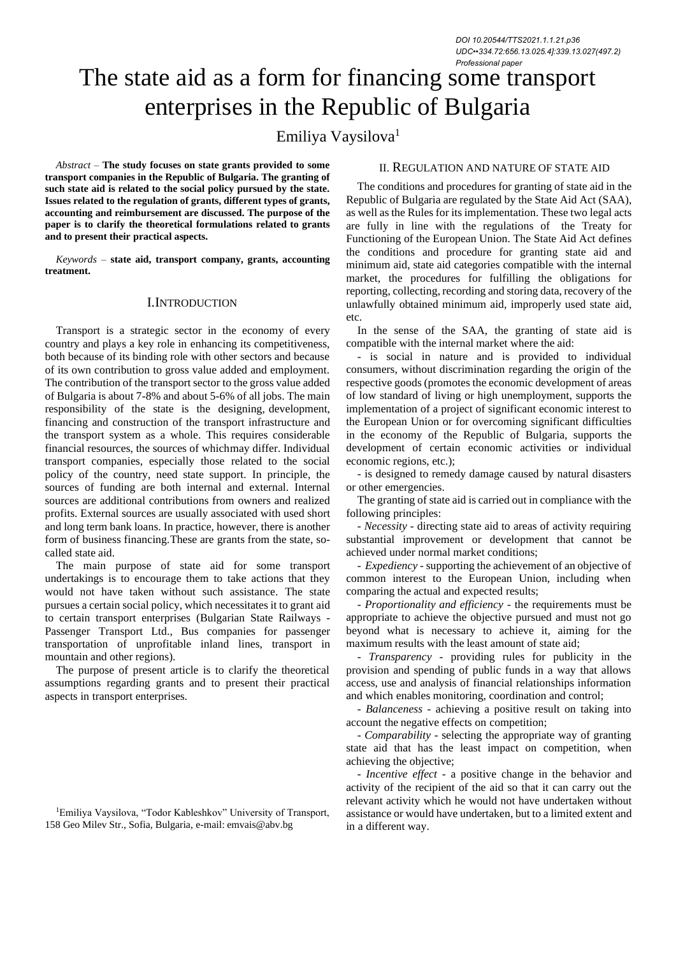# The state aid as a form for financing some transport enterprises in the Republic of Bulgaria

Emiliya Vaysilova<sup>1</sup>

*Abstract –* **The study focuses on state grants provided to some transport companies in the Republic of Bulgaria. The granting of such state aid is related to the social policy pursued by the state. Issues related to the regulation of grants, different types of grants, accounting and reimbursement are discussed. The purpose of the paper is to clarify the theoretical formulations related to grants and to present their practical aspects.**

*Keywords –* **state aid, transport company, grants, accounting treatment.**

# I.INTRODUCTION

Transport is a strategic sector in the economy of every country and plays a key role in enhancing its competitiveness, both because of its binding role with other sectors and because of its own contribution to gross value added and employment. The contribution of the transport sector to the gross value added of Bulgaria is about 7-8% and about 5-6% of all jobs. The main responsibility of the state is the designing, development, financing and construction of the transport infrastructure and the transport system as a whole. This requires considerable financial resources, the sources of whichmay differ. Individual transport companies, especially those related to the social policy of the country, need state support. In principle, the sources of funding are both internal and external. Internal sources are additional contributions from owners and realized profits. External sources are usually associated with used short and long term bank loans. In practice, however, there is another form of business financing.These are grants from the state, socalled state aid.

The main purpose of state aid for some transport undertakings is to encourage them to take actions that they would not have taken without such assistance. The state pursues a certain social policy, which necessitates it to grant aid to certain transport enterprises (Bulgarian State Railways - Passenger Transport Ltd., Bus companies for passenger transportation of unprofitable inland lines, transport in mountain and other regions).

The purpose of present article is to clarify the theoretical assumptions regarding grants and to present their practical aspects in transport enterprises.

## II. REGULATION AND NATURE OF STATE AID

The conditions and procedures for granting of state aid in the Republic of Bulgaria are regulated by the State Aid Act (SAA), as well as the Rules for its implementation. These two legal acts are fully in line with the regulations of the Treaty for Functioning of the European Union. The State Aid Act defines the conditions and procedure for granting state aid and minimum aid, state aid categories compatible with the internal market, the procedures for fulfilling the obligations for reporting, collecting, recording and storing data, recovery of the unlawfully obtained minimum aid, improperly used state aid, etc.

In the sense of the SAA, the granting of state aid is compatible with the internal market where the aid:

- is social in nature and is provided to individual consumers, without discrimination regarding the origin of the respective goods (promotes the economic development of areas of low standard of living or high unemployment, supports the implementation of a project of significant economic interest to the European Union or for overcoming significant difficulties in the economy of the Republic of Bulgaria, supports the development of certain economic activities or individual economic regions, etc.);

- is designed to remedy damage caused by natural disasters or other emergencies.

The granting of state aid is carried out in compliance with the following principles:

- *Necessity* - directing state aid to areas of activity requiring substantial improvement or development that cannot be achieved under normal market conditions;

- *Expediency* - supporting the achievement of an objective of common interest to the European Union, including when comparing the actual and expected results;

- *Proportionality and efficiency* - the requirements must be appropriate to achieve the objective pursued and must not go beyond what is necessary to achieve it, aiming for the maximum results with the least amount of state aid;

- *Transparency* - providing rules for publicity in the provision and spending of public funds in a way that allows access, use and analysis of financial relationships information and which enables monitoring, coordination and control;

- *Balanceness* - achieving a positive result on taking into account the negative effects on competition;

- *Comparability* - selecting the appropriate way of granting state aid that has the least impact on competition, when achieving the objective;

- *Incentive effect* - a positive change in the behavior and activity of the recipient of the aid so that it can carry out the relevant activity which he would not have undertaken without assistance or would have undertaken, but to a limited extent and in a different way.

<sup>1</sup>Emiliya Vaysilova, "Todor Kableshkov" University of Transport, 158 Geo Milev Str., Sofia, Bulgaria, e-mail: [emvais@abv.bg](mailto:emvais@abv.bg)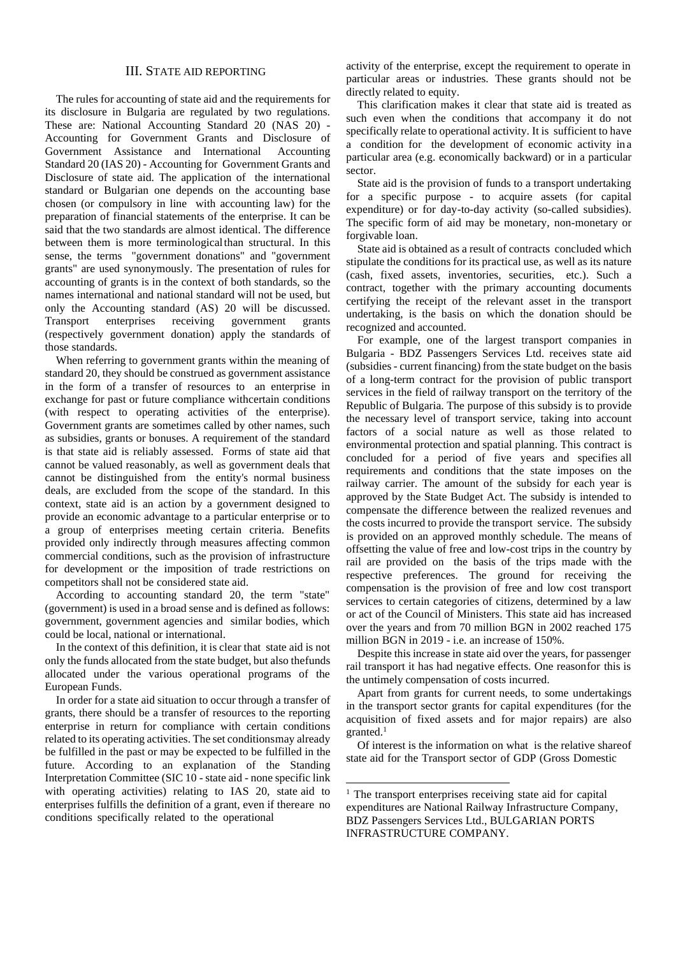# III. STATE AID REPORTING

The rules for accounting of state aid and the requirements for its disclosure in Bulgaria are regulated by two regulations. These are: National Accounting Standard 20 (NAS 20) - Accounting for Government Grants and Disclosure of Government Assistance and International Accounting Standard 20 (IAS 20) - Accounting for Government Grants and Disclosure of state aid. The application of the international standard or Bulgarian one depends on the accounting base chosen (or compulsory in line with accounting law) for the preparation of financial statements of the enterprise. It can be said that the two standards are almost identical. The difference between them is more terminological than structural. In this sense, the terms "government donations" and "government grants" are used synonymously. The presentation of rules for accounting of grants is in the context of both standards, so the names international and national standard will not be used, but only the Accounting standard (AS) 20 will be discussed. Transport enterprises receiving government grants (respectively government donation) apply the standards of those standards.

When referring to government grants within the meaning of standard 20, they should be construed as government assistance in the form of a transfer of resources to an enterprise in exchange for past or future compliance withcertain conditions (with respect to operating activities of the enterprise). Government grants are sometimes called by other names, such as subsidies, grants or bonuses. A requirement of the standard is that state aid is reliably assessed. Forms of state aid that cannot be valued reasonably, as well as government deals that cannot be distinguished from the entity's normal business deals, are excluded from the scope of the standard. In this context, state aid is an action by a government designed to provide an economic advantage to a particular enterprise or to a group of enterprises meeting certain criteria. Benefits provided only indirectly through measures affecting common commercial conditions, such as the provision of infrastructure for development or the imposition of trade restrictions on competitors shall not be considered state aid.

According to accounting standard 20, the term "state" (government) is used in a broad sense and is defined as follows: government, government agencies and similar bodies, which could be local, national or international.

In the context of this definition, it is clear that state aid is not only the funds allocated from the state budget, but also thefunds allocated under the various operational programs of the European Funds.

In order for a state aid situation to occur through a transfer of grants, there should be a transfer of resources to the reporting enterprise in return for compliance with certain conditions related to its operating activities. The set conditionsmay already be fulfilled in the past or may be expected to be fulfilled in the future. According to an explanation of the Standing Interpretation Committee (SIC 10 - state aid - none specific link with operating activities) relating to IAS 20, state aid to enterprises fulfills the definition of a grant, even if thereare no conditions specifically related to the operational

activity of the enterprise, except the requirement to operate in particular areas or industries. These grants should not be directly related to equity.

This clarification makes it clear that state aid is treated as such even when the conditions that accompany it do not specifically relate to operational activity. It is sufficient to have a condition for the development of economic activity ina particular area (e.g. economically backward) or in a particular sector.

State aid is the provision of funds to a transport undertaking for a specific purpose - to acquire assets (for capital expenditure) or for day-to-day activity (so-called subsidies). The specific form of aid may be monetary, non-monetary or forgivable loan.

State aid is obtained as a result of contracts concluded which stipulate the conditions for its practical use, as well as its nature (cash, fixed assets, inventories, securities, etc.). Such a contract, together with the primary accounting documents certifying the receipt of the relevant asset in the transport undertaking, is the basis on which the donation should be recognized and accounted.

For example, one of the largest transport companies in Bulgaria - BDZ Passengers Services Ltd. receives state aid (subsidies - current financing) from the state budget on the basis of a long-term contract for the provision of public transport services in the field of railway transport on the territory of the Republic of Bulgaria. The purpose of this subsidy is to provide the necessary level of transport service, taking into account factors of a social nature as well as those related to environmental protection and spatial planning. This contract is concluded for a period of five years and specifies all requirements and conditions that the state imposes on the railway carrier. The amount of the subsidy for each year is approved by the State Budget Act. The subsidy is intended to compensate the difference between the realized revenues and the costs incurred to provide the transport service. The subsidy is provided on an approved monthly schedule. The means of offsetting the value of free and low-cost trips in the country by rail are provided on the basis of the trips made with the respective preferences. The ground for receiving the compensation is the provision of free and low cost transport services to certain categories of citizens, determined by a law or act of the Council of Ministers. This state aid has increased over the years and from 70 million BGN in 2002 reached 175 million BGN in 2019 - i.e. an increase of 150%.

Despite this increase in state aid over the years, for passenger rail transport it has had negative effects. One reasonfor this is the untimely compensation of costs incurred.

Apart from grants for current needs, to some undertakings in the transport sector grants for capital expenditures (for the acquisition of fixed assets and for major repairs) are also granted. $1$ 

Of interest is the information on what is the relative shareof state aid for the Transport sector of GDP (Gross Domestic

<sup>&</sup>lt;sup>1</sup> The transport enterprises receiving state aid for capital expenditures are National Railway Infrastructure Company, BDZ Passengers Services Ltd., BULGARIAN PORTS INFRASTRUCTURE COMPANY.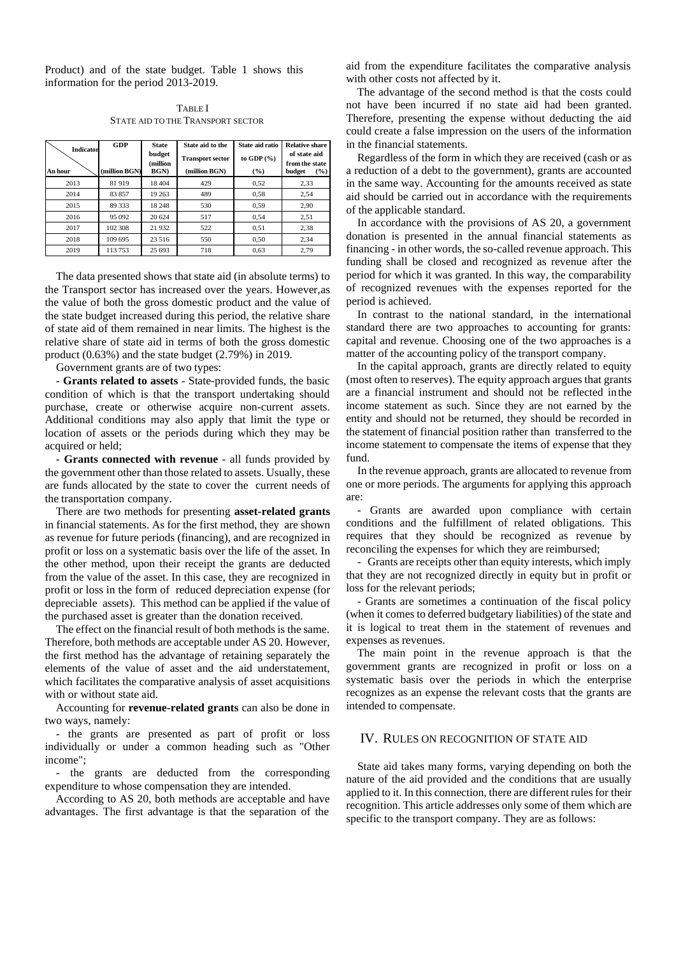Product) and of the state budget. Table 1 shows this information for the period 2013-2019.

TABLE I STATE AID TO THE TRANSPORT SECTOR

| <b>Indicator</b> | GDP          | <b>State</b>               | State aid to the                         | State aid ratio        | <b>Relative share</b><br>of state aid |
|------------------|--------------|----------------------------|------------------------------------------|------------------------|---------------------------------------|
| An hour          | million BGN) | budget<br>(million<br>BGN) | <b>Transport sector</b><br>(million BGN) | to GDP $(%)$<br>$($ %) | from the state<br>budget<br>$($ %)    |
| 2013             | 81919        | 18 404                     | 429                                      | 0,52                   | 2.33                                  |
| 2014             | 83857        | 19 26 3                    | 489                                      | 0,58                   | 2,54                                  |
| 2015             | 89 333       | 18 24 8                    | 530                                      | 0.59                   | 2.90                                  |
| 2016             | 95 092       | 20 624                     | 517                                      | 0.54                   | 2.51                                  |
| 2017             | 102 308      | 21 9 32                    | 522                                      | 0,51                   | 2.38                                  |
| 2018             | 109 695      | 23 516                     | 550                                      | 0.50                   | 2.34                                  |
| 2019             | 113753       | 25 693                     | 718                                      | 0,63                   | 2.79                                  |

The data presented shows that state aid (in absolute terms) to the Transport sector has increased over the years. However,as the value of both the gross domestic product and the value of the state budget increased during this period, the relative share of state aid of them remained in near limits. The highest is the relative share of state aid in terms of both the gross domestic product (0.63%) and the state budget (2.79%) in 2019.

Government grants are of two types:

- **Grants related to assets** - State-provided funds, the basic condition of which is that the transport undertaking should purchase, create or otherwise acquire non-current assets. Additional conditions may also apply that limit the type or location of assets or the periods during which they may be acquired or held;

- **Grants connected with revenue** - all funds provided by the government other than those related to assets. Usually, these are funds allocated by the state to cover the current needs of the transportation company.

There are two methods for presenting **asset-related grants** in financial statements. As for the first method, they are shown as revenue for future periods (financing), and are recognized in profit or loss on a systematic basis over the life of the asset. In the other method, upon their receipt the grants are deducted from the value of the asset. In this case, they are recognized in profit or loss in the form of reduced depreciation expense (for depreciable assets). This method can be applied if the value of the purchased asset is greater than the donation received.

The effect on the financial result of both methods is the same. Therefore, both methods are acceptable under AS 20. However, the first method has the advantage of retaining separately the elements of the value of asset and the aid understatement, which facilitates the comparative analysis of asset acquisitions with or without state aid.

Accounting for **revenue-related grants** can also be done in two ways, namely:

- the grants are presented as part of profit or loss individually or under a common heading such as "Other income";

- the grants are deducted from the corresponding expenditure to whose compensation they are intended.

According to AS 20, both methods are acceptable and have advantages. The first advantage is that the separation of the

aid from the expenditure facilitates the comparative analysis with other costs not affected by it.

The advantage of the second method is that the costs could not have been incurred if no state aid had been granted. Therefore, presenting the expense without deducting the aid could create a false impression on the users of the information in the financial statements.

Regardless of the form in which they are received (cash or as a reduction of a debt to the government), grants are accounted in the same way. Accounting for the amounts received as state aid should be carried out in accordance with the requirements of the applicable standard.

In accordance with the provisions of AS 20, a government donation is presented in the annual financial statements as financing - in other words, the so-called revenue approach. This funding shall be closed and recognized as revenue after the period for which it was granted. In this way, the comparability of recognized revenues with the expenses reported for the period is achieved.

In contrast to the national standard, in the international standard there are two approaches to accounting for grants: capital and revenue. Choosing one of the two approaches is a matter of the accounting policy of the transport company.

In the capital approach, grants are directly related to equity (most often to reserves). The equity approach argues that grants are a financial instrument and should not be reflected inthe income statement as such. Since they are not earned by the entity and should not be returned, they should be recorded in the statement of financial position rather than transferred to the income statement to compensate the items of expense that they fund.

In the revenue approach, grants are allocated to revenue from one or more periods. The arguments for applying this approach are:

- Grants are awarded upon compliance with certain conditions and the fulfillment of related obligations. This requires that they should be recognized as revenue by reconciling the expenses for which they are reimbursed;

- Grants are receipts other than equity interests, which imply that they are not recognized directly in equity but in profit or loss for the relevant periods;

- Grants are sometimes a continuation of the fiscal policy (when it comes to deferred budgetary liabilities) of the state and it is logical to treat them in the statement of revenues and expenses as revenues.

The main point in the revenue approach is that the government grants are recognized in profit or loss on a systematic basis over the periods in which the enterprise recognizes as an expense the relevant costs that the grants are intended to compensate.

## IV. RULES ON RECOGNITION OF STATE AID

State aid takes many forms, varying depending on both the nature of the aid provided and the conditions that are usually applied to it. In this connection, there are different rules for their recognition. This article addresses only some of them which are specific to the transport company. They are as follows: